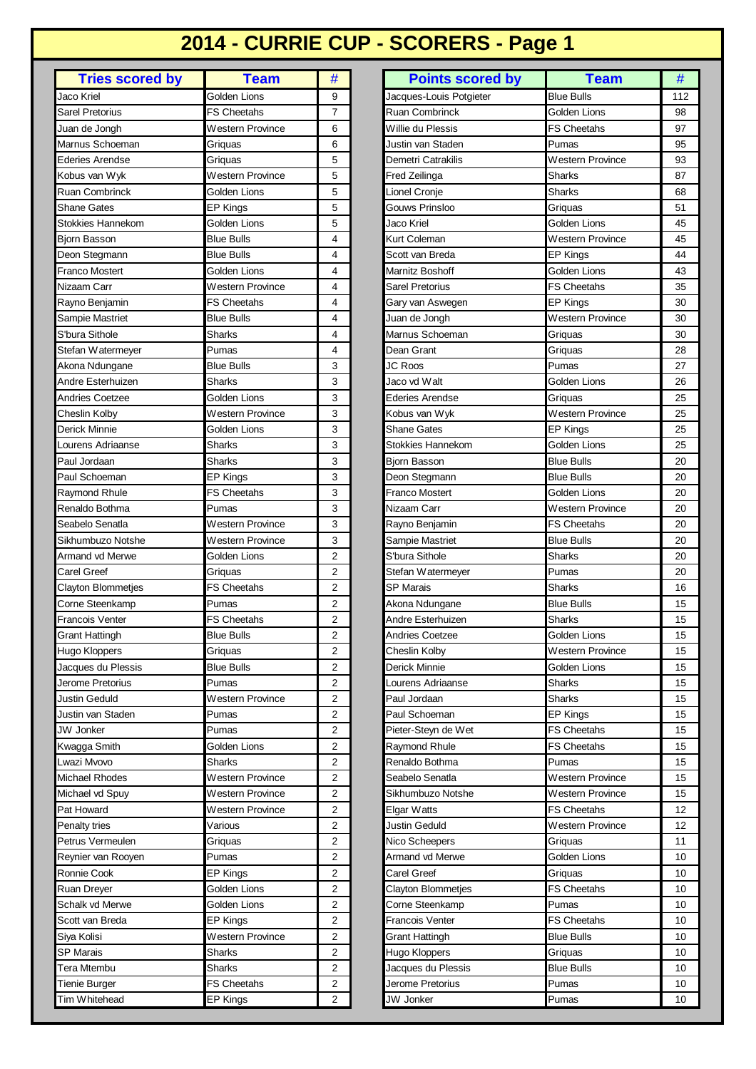## **2014 - CURRIE CUP - SCORERS - Page 1**

| <b>Tries scored by</b>   | <b>Team</b>        | #                       |
|--------------------------|--------------------|-------------------------|
| Jaco Kriel               | Golden Lions       | 9                       |
| Sarel Pretorius          | <b>FS Cheetahs</b> | 7                       |
| Juan de Jongh            | Western Province   | 6                       |
| Marnus Schoeman          | Griquas            | 6                       |
| Ederies Arendse          | Griquas            | 5                       |
| Kobus van Wyk            | Western Province   | 5                       |
| <b>Ruan Combrinck</b>    | Golden Lions       | 5                       |
| Shane Gates              | EP Kings           | 5                       |
| <b>Stokkies Hannekom</b> | Golden Lions       | 5                       |
| Bjorn Basson             | <b>Blue Bulls</b>  | 4                       |
| Deon Stegmann            | <b>Blue Bulls</b>  | 4                       |
| Franco Mostert           | Golden Lions       | 4                       |
| Nizaam Carr              | Western Province   | 4                       |
| Rayno Benjamin           | <b>FS Cheetahs</b> | 4                       |
| Sampie Mastriet          | <b>Blue Bulls</b>  | 4                       |
| S'bura Sithole           | <b>Sharks</b>      | 4                       |
| Stefan Watermeyer        | Pumas              | 4                       |
| Akona Ndungane           | <b>Blue Bulls</b>  | 3                       |
| Andre Esterhuizen        | Sharks             | 3                       |
| Andries Coetzee          | Golden Lions       | 3                       |
| Cheslin Kolby            | Western Province   | 3                       |
| Derick Minnie            | Golden Lions       | 3                       |
| Lourens Adriaanse        | Sharks             | 3                       |
| Paul Jordaan             | Sharks             | 3                       |
| Paul Schoeman            | EP Kings           | 3                       |
| <b>Raymond Rhule</b>     | <b>FS Cheetahs</b> | 3                       |
| Renaldo Bothma           | Pumas              | 3                       |
| Seabelo Senatla          | Western Province   | 3                       |
| Sikhumbuzo Notshe        | Western Province   | 3                       |
| Armand vd Merwe          | Golden Lions       | $\overline{2}$          |
| Carel Greef              | Griquas            | 2                       |
| Clayton Blommetjes       | <b>FS Cheetahs</b> | $\overline{2}$          |
| Corne Steenkamp          | Pumas              | 2                       |
| Francois Venter          | <b>FS Cheetahs</b> | 2                       |
| Grant Hattingh           | <b>Blue Bulls</b>  | $\overline{2}$          |
| Hugo Kloppers            | Griquas            | 2                       |
| Jacques du Plessis       | <b>Blue Bulls</b>  | 2                       |
| Jerome Pretorius         | Pumas              | $\overline{2}$          |
| Justin Geduld            | Western Province   | 2                       |
| Justin van Staden        | Pumas              | $\overline{2}$          |
| <b>JW Jonker</b>         | Pumas              | 2                       |
| Kwagga Smith             | Golden Lions       | 2                       |
| Lwazi Mvovo              | Sharks             | 2                       |
| Michael Rhodes           | Western Province   | 2                       |
| Michael vd Spuy          | Western Province   | 2                       |
| Pat Howard               | Western Province   | 2                       |
| Penalty tries            | Various            | 2                       |
| Petrus Vermeulen         | Griquas            | 2                       |
| Reynier van Rooyen       | Pumas              | 2                       |
| Ronnie Cook              | EP Kings           | 2                       |
| Ruan Dreyer              | Golden Lions       | $\overline{2}$          |
| Schalk vd Merwe          | Golden Lions       | 2                       |
| Scott van Breda          | EP Kings           | 2                       |
| Siya Kolisi              | Western Province   | $\overline{2}$          |
| <b>SP Marais</b>         | <b>Sharks</b>      | 2                       |
| Tera Mtembu              | Sharks             | 2                       |
| Tienie Burger            | <b>FS Cheetahs</b> | 2                       |
| Tim Whitehead            | <b>EP Kings</b>    | $\overline{\mathbf{c}}$ |
|                          |                    |                         |

| <b>Golden Lions</b><br>Jaco Kriel<br><b>Sarel Pretorius</b><br><b>FS Cheetahs</b> | 9<br>7         | Jacques-Louis Potgieter   | <b>Blue Bulls</b>       |     |
|-----------------------------------------------------------------------------------|----------------|---------------------------|-------------------------|-----|
|                                                                                   |                |                           |                         | 112 |
|                                                                                   |                | <b>Ruan Combrinck</b>     | Golden Lions            | 98  |
| Western Province<br>Juan de Jongh                                                 | 6              | Willie du Plessis         | <b>FS Cheetahs</b>      | 97  |
| Marnus Schoeman<br>Griquas                                                        | 6              | Justin van Staden         | Pumas                   | 95  |
| <b>Ederies Arendse</b><br>Griquas                                                 | 5              | Demetri Catrakilis        | Western Province        | 93  |
| Kobus van Wyk<br>Western Province                                                 | 5              | Fred Zeilinga             | Sharks                  | 87  |
| <b>Ruan Combrinck</b><br>Golden Lions                                             | 5              | Lionel Cronje             | Sharks                  | 68  |
| <b>Shane Gates</b><br>EP Kings                                                    | 5              | Gouws Prinsloo            | Griquas                 | 51  |
| Stokkies Hannekom<br>Golden Lions                                                 | 5              | Jaco Kriel                | Golden Lions            | 45  |
| <b>Bjorn Basson</b><br><b>Blue Bulls</b>                                          | 4              | Kurt Coleman              | Western Province        | 45  |
| Deon Stegmann<br><b>Blue Bulls</b>                                                | 4              | Scott van Breda           | <b>EP Kings</b>         | 44  |
| Franco Mostert<br>Golden Lions                                                    | 4              | Marnitz Boshoff           | Golden Lions            | 43  |
| Nizaam Carr<br>Western Province                                                   | 4              | Sarel Pretorius           | <b>FS Cheetahs</b>      | 35  |
| FS Cheetahs<br>Rayno Benjamin                                                     | 4              | Gary van Aswegen          | <b>EP Kings</b>         | 30  |
| <b>Blue Bulls</b><br>Sampie Mastriet                                              | 4              | Juan de Jongh             | Western Province        | 30  |
| S'bura Sithole<br><b>Sharks</b>                                                   | 4              | Marnus Schoeman           | Griquas                 | 30  |
| Pumas<br>Stefan Watermeyer                                                        | 4              | Dean Grant                | Griquas                 | 28  |
| Akona Ndungane<br>Blue Bulls                                                      | 3              | JC Roos                   | Pumas                   | 27  |
| <b>Sharks</b><br>Andre Esterhuizen                                                | 3              | Jaco vd Walt              | Golden Lions            | 26  |
| <b>Andries Coetzee</b><br>Golden Lions                                            | 3              | Ederies Arendse           | Griquas                 | 25  |
| Cheslin Kolby<br>Western Province                                                 | 3              | Kobus van Wyk             | Western Province        | 25  |
| Derick Minnie<br>Golden Lions                                                     | 3              | <b>Shane Gates</b>        | EP Kings                | 25  |
| <b>Sharks</b><br>Lourens Adriaanse                                                | 3              | Stokkies Hannekom         | Golden Lions            | 25  |
| Paul Jordaan<br>Sharks                                                            | 3              | <b>Bjorn Basson</b>       | <b>Blue Bulls</b>       | 20  |
| <b>EP Kings</b><br>Paul Schoeman                                                  | 3              | Deon Stegmann             | <b>Blue Bulls</b>       | 20  |
| <b>Raymond Rhule</b><br>FS Cheetahs                                               | 3              | Franco Mostert            | Golden Lions            | 20  |
| Renaldo Bothma<br>Pumas                                                           | 3              | Nizaam Carr               | Western Province        | 20  |
| Seabelo Senatla<br>Western Province                                               | 3              | Rayno Benjamin            | <b>FS Cheetahs</b>      | 20  |
| Sikhumbuzo Notshe<br>Western Province                                             | 3              | Sampie Mastriet           | <b>Blue Bulls</b>       | 20  |
| Armand vd Merwe<br>Golden Lions                                                   | $\overline{2}$ | S'bura Sithole            | Sharks                  | 20  |
| Carel Greef<br>Griquas                                                            | $\overline{2}$ | Stefan Watermeyer         | Pumas                   | 20  |
| <b>Clayton Blommetjes</b><br>FS Cheetahs                                          | $\overline{2}$ | <b>SP Marais</b>          | Sharks                  | 16  |
| Corne Steenkamp<br>Pumas                                                          | $\overline{2}$ | Akona Ndungane            | Blue Bulls              | 15  |
| <b>Francois Venter</b><br><b>FS Cheetahs</b>                                      | 2              | Andre Esterhuizen         | Sharks                  | 15  |
| <b>Grant Hattingh</b><br><b>Blue Bulls</b>                                        | $\overline{2}$ | <b>Andries Coetzee</b>    | Golden Lions            | 15  |
| Griquas<br>Hugo Kloppers                                                          | 2              | Cheslin Kolby             | <b>Western Province</b> | 15  |
| Jacques du Plessis<br><b>Blue Bulls</b>                                           | 2              | Derick Minnie             | Golden Lions            | 15  |
| Jerome Pretorius<br>Pumas                                                         | 2              | Lourens Adriaanse         | Sharks                  | 15  |
| Justin Geduld<br>Western Province                                                 | 2              | Paul Jordaan              | Sharks                  | 15  |
| Justin van Staden<br>Pumas                                                        | 2              | Paul Schoeman             | <b>EP Kings</b>         | 15  |
| <b>JW Jonker</b><br>Pumas                                                         | 2              | Pieter-Steyn de Wet       | FS Cheetahs             | 15  |
| Kwagga Smith<br>Golden Lions                                                      | 2              | <b>Raymond Rhule</b>      | FS Cheetahs             | 15  |
| Lwazi Mvovo<br>Sharks                                                             | 2              | Renaldo Bothma            | Pumas                   | 15  |
| Michael Rhodes<br>Western Province                                                | 2              | Seabelo Senatla           | Western Province        | 15  |
| Western Province<br>Michael vd Spuy                                               | 2              | Sikhumbuzo Notshe         | Western Province        | 15  |
| Pat Howard<br>Western Province                                                    | 2              | Elgar Watts               | <b>FS Cheetahs</b>      | 12  |
| Penalty tries<br>Various                                                          | 2              | Justin Geduld             | Western Province        | 12  |
| Petrus Vermeulen<br>Griquas                                                       | 2              | Nico Scheepers            | Griquas                 | 11  |
| Pumas<br>Reynier van Rooyen                                                       | 2              | Armand vd Merwe           | Golden Lions            | 10  |
| Ronnie Cook<br>EP Kings                                                           | 2              | Carel Greef               | Griquas                 | 10  |
| Ruan Dreyer<br>Golden Lions                                                       | 2              | <b>Clayton Blommetjes</b> | FS Cheetahs             | 10  |
| Schalk vd Merwe<br>Golden Lions                                                   | $\overline{2}$ | Corne Steenkamp           | Pumas                   | 10  |
| Scott van Breda<br>EP Kings                                                       | 2              | Francois Venter           | FS Cheetahs             | 10  |
| Siya Kolisi<br>Western Province                                                   | 2              | Grant Hattingh            | <b>Blue Bulls</b>       | 10  |
| <b>SP Marais</b><br>Sharks                                                        | 2              | Hugo Kloppers             | Griquas                 | 10  |
| Tera Mtembu<br>Sharks                                                             | 2              | Jacques du Plessis        | <b>Blue Bulls</b>       | 10  |
| Tienie Burger<br><b>FS Cheetahs</b>                                               | 2              | Jerome Pretorius          | Pumas                   | 10  |
| Tim Whitehead<br>EP Kings                                                         | 2              | JW Jonker                 | Pumas                   | 10  |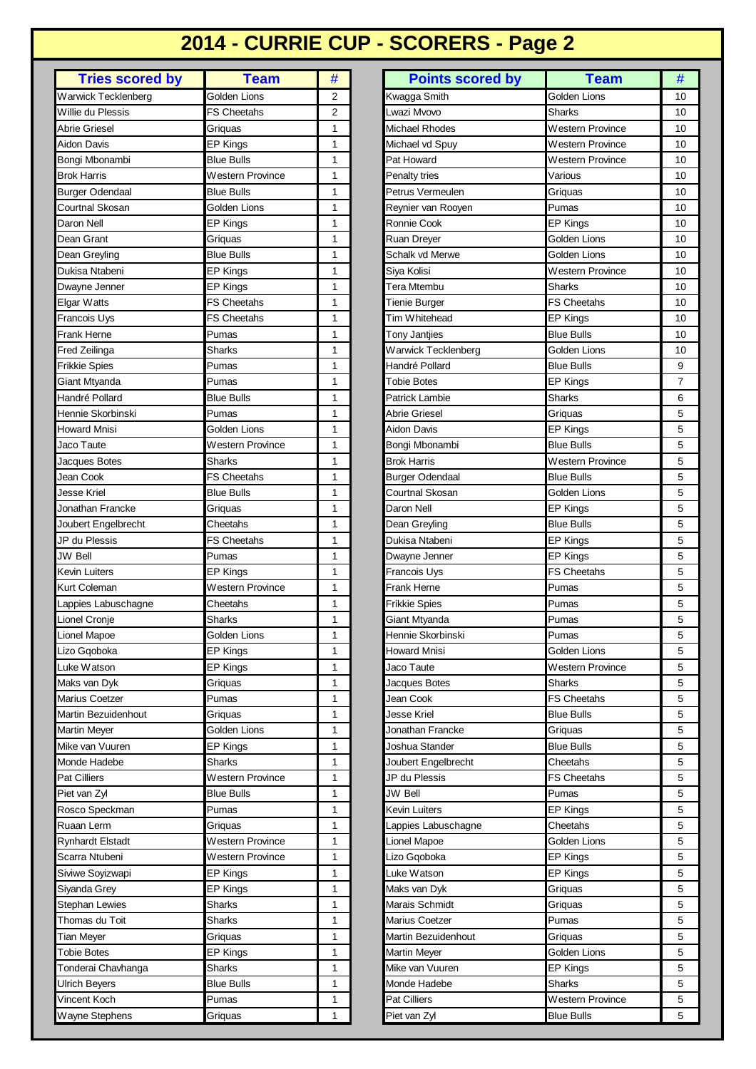## **2014 - CURRIE CUP - SCORERS - Page 2**

| <b>Tries scored by</b>  | <b>Team</b>        | # |
|-------------------------|--------------------|---|
| Warwick Tecklenberg     | Golden Lions       | 2 |
| Willie du Plessis       | <b>FS Cheetahs</b> | 2 |
| Abrie Griesel           | Griquas            | 1 |
| Aidon Davis             | <b>EP Kings</b>    | 1 |
| Bongi Mbonambi          | <b>Blue Bulls</b>  | 1 |
| Brok Harris             | Western Province   | 1 |
| Burger Odendaal         | <b>Blue Bulls</b>  | 1 |
| Courtnal Skosan         | Golden Lions       | 1 |
| Daron Nell              | EP Kings           | 1 |
| Dean Grant              | Griquas            | 1 |
| Dean Greyling           | <b>Blue Bulls</b>  | 1 |
| Dukisa Ntabeni          | <b>EP Kings</b>    | 1 |
| Dwayne Jenner           | <b>EP Kings</b>    | 1 |
| Elgar Watts             | <b>FS Cheetahs</b> | 1 |
| Francois Uys            | <b>FS Cheetahs</b> | 1 |
| Frank Herne             | Pumas              | 1 |
| Fred Zeilinga           | Sharks             | 1 |
| <b>Frikkie Spies</b>    | Pumas              | 1 |
| Giant Mtyanda           | Pumas              | 1 |
| Handré Pollard          | <b>Blue Bulls</b>  | 1 |
| Hennie Skorbinski       | Pumas              | 1 |
| <b>Howard Mnisi</b>     | Golden Lions       | 1 |
| Jaco Taute              | Western Province   | 1 |
| Jacques Botes           | <b>Sharks</b>      | 1 |
| Jean Cook               | <b>FS Cheetahs</b> | 1 |
| Jesse Kriel             | <b>Blue Bulls</b>  | 1 |
| Jonathan Francke        | Griquas            | 1 |
| Joubert Engelbrecht     | Cheetahs           | 1 |
| JP du Plessis           | <b>FS Cheetahs</b> | 1 |
| <b>JW Bell</b>          | Pumas              | 1 |
| Kevin Luiters           | EP Kings           | 1 |
| Kurt Coleman            | Western Province   | 1 |
| Lappies Labuschagne     | Cheetahs           | 1 |
| Lionel Cronje           | Sharks             | 1 |
| Lionel Mapoe            | Golden Lions       | 1 |
| Lizo Gqoboka            | <b>EP Kings</b>    | 1 |
| Luke Watson             | <b>EP Kings</b>    | 1 |
| Maks van Dyk            | Griquas            | 1 |
| Marius Coetzer          | Pumas              | 1 |
| Martin Bezuidenhout     | Griquas            | 1 |
| <b>Martin Meyer</b>     | Golden Lions       | 1 |
| Mike van Vuuren         | <b>EP Kings</b>    | 1 |
| Monde Hadebe            | Sharks             | 1 |
| Pat Cilliers            | Western Province   | 1 |
| Piet van Zyl            | <b>Blue Bulls</b>  | 1 |
| Rosco Speckman          | Pumas              | 1 |
| Ruaan Lerm              | Griquas            | 1 |
| <b>Rynhardt Elstadt</b> | Western Province   | 1 |
| Scarra Ntubeni          | Western Province   | 1 |
| Siviwe Soyizwapi        | EP Kings           | 1 |
| Siyanda Grey            | EP Kings           | 1 |
| Stephan Lewies          | Sharks             | 1 |
| Thomas du Toit          | Sharks             | 1 |
| Tian Meyer              | Griquas            | 1 |
| <b>Tobie Botes</b>      | <b>EP Kings</b>    | 1 |
| Tonderai Chavhanga      | Sharks             | 1 |
| Ulrich Beyers           | <b>Blue Bulls</b>  | 1 |
| Vincent Koch            | Pumas              | 1 |
| Wayne Stephens          | Griquas            | 1 |

| Golden Lions<br>Golden Lions<br>2<br>Kwagga Smith<br>10<br>$\overline{2}$<br>FS Cheetahs<br>Lwazi Mvovo<br><b>Sharks</b><br>10<br><b>Michael Rhodes</b><br><b>Western Province</b><br>10<br>Griquas<br>1<br><b>EP Kings</b><br>1<br>Western Province<br>10<br>Michael vd Spuy<br><b>Blue Bulls</b><br>1<br><b>Western Province</b><br>10<br>Pat Howard<br>1<br>Western Province<br>Penalty tries<br>Various<br>10<br>1<br>Petrus Vermeulen<br>10<br><b>Blue Bulls</b><br>Griquas<br>Golden Lions<br>1<br>Reynier van Rooyen<br>10<br>Pumas<br>EP Kings<br>Ronnie Cook<br>EP Kings<br>1<br>10<br>Griquas<br>1<br>Ruan Dreyer<br>Golden Lions<br>10<br><b>Blue Bulls</b><br>1<br>Schalk vd Merwe<br>Golden Lions<br>10<br>Siya Kolisi<br><b>Western Province</b><br>EP Kings<br>1<br>10<br>Tera Mtembu<br><b>EP Kings</b><br>1<br><b>Sharks</b><br>10<br>Elgar Watts<br><b>FS Cheetahs</b><br>1<br><b>Tienie Burger</b><br>FS Cheetahs<br>10<br>Tim Whitehead<br>FS Cheetahs<br><b>EP Kings</b><br>10<br>1<br>Pumas<br><b>Blue Bulls</b><br>10<br>1<br>Tony Jantjies<br><b>Sharks</b><br>1<br>Golden Lions<br>10<br>Warwick Tecklenberg<br>Pumas<br>Handré Pollard<br>1<br><b>Blue Bulls</b><br>9<br>$\overline{7}$<br>Giant Mtyanda<br>Pumas<br>1<br>Tobie Botes<br>EP Kings<br>6<br>Blue Bulls<br>1<br>Patrick Lambie<br>Sharks<br>5<br>Abrie Griesel<br>Pumas<br>1<br>Griquas<br>5<br><b>Howard Mnisi</b><br>Golden Lions<br>Aidon Davis<br><b>EP Kings</b><br>1<br>5<br>Western Province<br>Bongi Mbonambi<br><b>Blue Bulls</b><br>1<br>Jacques Botes<br>Sharks<br>1<br><b>Brok Harris</b><br><b>Western Province</b><br>5<br>5<br>FS Cheetahs<br><b>Burger Odendaal</b><br><b>Blue Bulls</b><br>1<br><b>Jesse Kriel</b><br><b>Blue Bulls</b><br><b>Courtnal Skosan</b><br><b>Golden Lions</b><br>5<br>1<br>Jonathan Francke<br>Daron Nell<br>5<br>Griquas<br>1<br><b>EP Kings</b><br>5<br>Joubert Engelbrecht<br>Cheetahs<br>1<br>Dean Greyling<br><b>Blue Bulls</b><br>JP du Plessis<br><b>FS Cheetahs</b><br>1<br>Dukisa Ntabeni<br><b>EP Kings</b><br>5<br>Pumas<br>JW Bell<br>1<br><b>EP Kings</b><br>5<br>Dwayne Jenner<br>5<br>Kevin Luiters<br>1<br>FS Cheetahs<br>EP Kings<br>Francois Uys<br>5<br>Frank Herne<br>Kurt Coleman<br>Western Province<br>1<br>Pumas<br>5<br>Lappies Labuschagne<br><b>Frikkie Spies</b><br>Cheetahs<br>1<br>Pumas<br>5<br>Lionel Cronje<br>Sharks<br>Giant Mtyanda<br>1<br>Pumas<br>5<br>Lionel Mapoe<br>Golden Lions<br>$\mathbf{1}$<br>Hennie Skorbinski<br>Pumas<br>Lizo Gqoboka<br>EP Kings<br>1<br>Howard Mnisi<br>Golden Lions<br>5<br>Jaco Taute<br><b>Western Province</b><br>Luke Watson<br>EP Kings<br>1<br>5<br>Maks van Dyk<br>1<br>Jacques Botes<br>5<br>Sharks<br>Griguas<br><b>FS Cheetahs</b><br>Marius Coetzer<br>Pumas<br>1<br>5<br>Jean Cook<br>Martin Bezuidenhout<br>Jesse Kriel<br><b>Blue Bulls</b><br>5<br>Griquas<br>1<br>5<br><b>Martin Meyer</b><br>Golden Lions<br>1<br>Jonathan Francke<br>Griquas<br>Mike van Vuuren<br><b>EP Kings</b><br>1<br>Joshua Stander<br><b>Blue Bulls</b><br>5<br><b>Sharks</b><br>5<br>Monde Hadebe<br>1<br>Joubert Engelbrecht<br>Cheetahs<br>JP du Plessis<br>Pat Cilliers<br>Western Province<br>1<br>FS Cheetahs<br>5<br>5<br>Piet van Zyl<br>Blue Bulls<br>JW Bell<br>1<br>Pumas<br>5<br>Rosco Speckman<br>Pumas<br>Kevin Luiters<br>EP Kings<br>1<br>Ruaan Lerm<br>5<br>1<br>Lappies Labuschagne<br>Cheetahs<br>Griquas<br><b>Rynhardt Elstadt</b><br>Western Province<br>Lionel Mapoe<br>Golden Lions<br>5<br>1<br>Scarra Ntubeni<br>Lizo Gqoboka<br>Western Province<br>1<br><b>EP Kings</b><br>5<br>Siviwe Soyizwapi<br>EP Kings<br>1<br>Luke Watson<br><b>EP Kings</b><br>5<br><b>EP Kings</b><br>5<br>Siyanda Grey<br>1<br>Maks van Dyk<br>Griquas<br>Marais Schmidt<br><b>Stephan Lewies</b><br><b>Sharks</b><br>1<br>5<br>Griquas<br>Thomas du Toit<br>Sharks<br>1<br>Marius Coetzer<br>5<br>Pumas<br>1<br>Martin Bezuidenhout<br>5<br>Griquas<br>Griquas<br>1<br><b>Martin Meyer</b><br>Golden Lions<br>5<br>EP Kings<br>Mike van Vuuren<br>Sharks<br>1<br><b>EP Kings</b><br>5<br>5<br>Monde Hadebe<br>Blue Bulls<br>1<br>Sharks<br>Pat Cilliers<br><b>Western Province</b><br>5<br>Pumas<br>1<br>5<br>1<br>Piet van Zyl<br>Griquas<br><b>Blue Bulls</b> | <b>Tries scored by</b> | <b>Team</b> | # | <b>Points scored by</b> | <b>Team</b> | # |
|--------------------------------------------------------------------------------------------------------------------------------------------------------------------------------------------------------------------------------------------------------------------------------------------------------------------------------------------------------------------------------------------------------------------------------------------------------------------------------------------------------------------------------------------------------------------------------------------------------------------------------------------------------------------------------------------------------------------------------------------------------------------------------------------------------------------------------------------------------------------------------------------------------------------------------------------------------------------------------------------------------------------------------------------------------------------------------------------------------------------------------------------------------------------------------------------------------------------------------------------------------------------------------------------------------------------------------------------------------------------------------------------------------------------------------------------------------------------------------------------------------------------------------------------------------------------------------------------------------------------------------------------------------------------------------------------------------------------------------------------------------------------------------------------------------------------------------------------------------------------------------------------------------------------------------------------------------------------------------------------------------------------------------------------------------------------------------------------------------------------------------------------------------------------------------------------------------------------------------------------------------------------------------------------------------------------------------------------------------------------------------------------------------------------------------------------------------------------------------------------------------------------------------------------------------------------------------------------------------------------------------------------------------------------------------------------------------------------------------------------------------------------------------------------------------------------------------------------------------------------------------------------------------------------------------------------------------------------------------------------------------------------------------------------------------------------------------------------------------------------------------------------------------------------------------------------------------------------------------------------------------------------------------------------------------------------------------------------------------------------------------------------------------------------------------------------------------------------------------------------------------------------------------------------------------------------------------------------------------------------------------------------------------------------------------------------------------------------------------------------------------------------------------------------------------------------------------------------------------------------------------------------------------------------------------------------------------------------------------------------------------------------------------------------------------------------------------------------------------------------------------------------------------------------------------------------------------------------------------------------------------------------------|------------------------|-------------|---|-------------------------|-------------|---|
|                                                                                                                                                                                                                                                                                                                                                                                                                                                                                                                                                                                                                                                                                                                                                                                                                                                                                                                                                                                                                                                                                                                                                                                                                                                                                                                                                                                                                                                                                                                                                                                                                                                                                                                                                                                                                                                                                                                                                                                                                                                                                                                                                                                                                                                                                                                                                                                                                                                                                                                                                                                                                                                                                                                                                                                                                                                                                                                                                                                                                                                                                                                                                                                                                                                                                                                                                                                                                                                                                                                                                                                                                                                                                                                                                                                                                                                                                                                                                                                                                                                                                                                                                                                                                                                                          | Warwick Tecklenberg    |             |   |                         |             |   |
|                                                                                                                                                                                                                                                                                                                                                                                                                                                                                                                                                                                                                                                                                                                                                                                                                                                                                                                                                                                                                                                                                                                                                                                                                                                                                                                                                                                                                                                                                                                                                                                                                                                                                                                                                                                                                                                                                                                                                                                                                                                                                                                                                                                                                                                                                                                                                                                                                                                                                                                                                                                                                                                                                                                                                                                                                                                                                                                                                                                                                                                                                                                                                                                                                                                                                                                                                                                                                                                                                                                                                                                                                                                                                                                                                                                                                                                                                                                                                                                                                                                                                                                                                                                                                                                                          | Willie du Plessis      |             |   |                         |             |   |
|                                                                                                                                                                                                                                                                                                                                                                                                                                                                                                                                                                                                                                                                                                                                                                                                                                                                                                                                                                                                                                                                                                                                                                                                                                                                                                                                                                                                                                                                                                                                                                                                                                                                                                                                                                                                                                                                                                                                                                                                                                                                                                                                                                                                                                                                                                                                                                                                                                                                                                                                                                                                                                                                                                                                                                                                                                                                                                                                                                                                                                                                                                                                                                                                                                                                                                                                                                                                                                                                                                                                                                                                                                                                                                                                                                                                                                                                                                                                                                                                                                                                                                                                                                                                                                                                          | Abrie Griesel          |             |   |                         |             |   |
|                                                                                                                                                                                                                                                                                                                                                                                                                                                                                                                                                                                                                                                                                                                                                                                                                                                                                                                                                                                                                                                                                                                                                                                                                                                                                                                                                                                                                                                                                                                                                                                                                                                                                                                                                                                                                                                                                                                                                                                                                                                                                                                                                                                                                                                                                                                                                                                                                                                                                                                                                                                                                                                                                                                                                                                                                                                                                                                                                                                                                                                                                                                                                                                                                                                                                                                                                                                                                                                                                                                                                                                                                                                                                                                                                                                                                                                                                                                                                                                                                                                                                                                                                                                                                                                                          | Aidon Davis            |             |   |                         |             |   |
|                                                                                                                                                                                                                                                                                                                                                                                                                                                                                                                                                                                                                                                                                                                                                                                                                                                                                                                                                                                                                                                                                                                                                                                                                                                                                                                                                                                                                                                                                                                                                                                                                                                                                                                                                                                                                                                                                                                                                                                                                                                                                                                                                                                                                                                                                                                                                                                                                                                                                                                                                                                                                                                                                                                                                                                                                                                                                                                                                                                                                                                                                                                                                                                                                                                                                                                                                                                                                                                                                                                                                                                                                                                                                                                                                                                                                                                                                                                                                                                                                                                                                                                                                                                                                                                                          | Bongi Mbonambi         |             |   |                         |             |   |
|                                                                                                                                                                                                                                                                                                                                                                                                                                                                                                                                                                                                                                                                                                                                                                                                                                                                                                                                                                                                                                                                                                                                                                                                                                                                                                                                                                                                                                                                                                                                                                                                                                                                                                                                                                                                                                                                                                                                                                                                                                                                                                                                                                                                                                                                                                                                                                                                                                                                                                                                                                                                                                                                                                                                                                                                                                                                                                                                                                                                                                                                                                                                                                                                                                                                                                                                                                                                                                                                                                                                                                                                                                                                                                                                                                                                                                                                                                                                                                                                                                                                                                                                                                                                                                                                          | <b>Brok Harris</b>     |             |   |                         |             |   |
|                                                                                                                                                                                                                                                                                                                                                                                                                                                                                                                                                                                                                                                                                                                                                                                                                                                                                                                                                                                                                                                                                                                                                                                                                                                                                                                                                                                                                                                                                                                                                                                                                                                                                                                                                                                                                                                                                                                                                                                                                                                                                                                                                                                                                                                                                                                                                                                                                                                                                                                                                                                                                                                                                                                                                                                                                                                                                                                                                                                                                                                                                                                                                                                                                                                                                                                                                                                                                                                                                                                                                                                                                                                                                                                                                                                                                                                                                                                                                                                                                                                                                                                                                                                                                                                                          | <b>Burger Odendaal</b> |             |   |                         |             |   |
|                                                                                                                                                                                                                                                                                                                                                                                                                                                                                                                                                                                                                                                                                                                                                                                                                                                                                                                                                                                                                                                                                                                                                                                                                                                                                                                                                                                                                                                                                                                                                                                                                                                                                                                                                                                                                                                                                                                                                                                                                                                                                                                                                                                                                                                                                                                                                                                                                                                                                                                                                                                                                                                                                                                                                                                                                                                                                                                                                                                                                                                                                                                                                                                                                                                                                                                                                                                                                                                                                                                                                                                                                                                                                                                                                                                                                                                                                                                                                                                                                                                                                                                                                                                                                                                                          | Courtnal Skosan        |             |   |                         |             |   |
|                                                                                                                                                                                                                                                                                                                                                                                                                                                                                                                                                                                                                                                                                                                                                                                                                                                                                                                                                                                                                                                                                                                                                                                                                                                                                                                                                                                                                                                                                                                                                                                                                                                                                                                                                                                                                                                                                                                                                                                                                                                                                                                                                                                                                                                                                                                                                                                                                                                                                                                                                                                                                                                                                                                                                                                                                                                                                                                                                                                                                                                                                                                                                                                                                                                                                                                                                                                                                                                                                                                                                                                                                                                                                                                                                                                                                                                                                                                                                                                                                                                                                                                                                                                                                                                                          | Daron Nell             |             |   |                         |             |   |
|                                                                                                                                                                                                                                                                                                                                                                                                                                                                                                                                                                                                                                                                                                                                                                                                                                                                                                                                                                                                                                                                                                                                                                                                                                                                                                                                                                                                                                                                                                                                                                                                                                                                                                                                                                                                                                                                                                                                                                                                                                                                                                                                                                                                                                                                                                                                                                                                                                                                                                                                                                                                                                                                                                                                                                                                                                                                                                                                                                                                                                                                                                                                                                                                                                                                                                                                                                                                                                                                                                                                                                                                                                                                                                                                                                                                                                                                                                                                                                                                                                                                                                                                                                                                                                                                          | Dean Grant             |             |   |                         |             |   |
|                                                                                                                                                                                                                                                                                                                                                                                                                                                                                                                                                                                                                                                                                                                                                                                                                                                                                                                                                                                                                                                                                                                                                                                                                                                                                                                                                                                                                                                                                                                                                                                                                                                                                                                                                                                                                                                                                                                                                                                                                                                                                                                                                                                                                                                                                                                                                                                                                                                                                                                                                                                                                                                                                                                                                                                                                                                                                                                                                                                                                                                                                                                                                                                                                                                                                                                                                                                                                                                                                                                                                                                                                                                                                                                                                                                                                                                                                                                                                                                                                                                                                                                                                                                                                                                                          | Dean Greyling          |             |   |                         |             |   |
|                                                                                                                                                                                                                                                                                                                                                                                                                                                                                                                                                                                                                                                                                                                                                                                                                                                                                                                                                                                                                                                                                                                                                                                                                                                                                                                                                                                                                                                                                                                                                                                                                                                                                                                                                                                                                                                                                                                                                                                                                                                                                                                                                                                                                                                                                                                                                                                                                                                                                                                                                                                                                                                                                                                                                                                                                                                                                                                                                                                                                                                                                                                                                                                                                                                                                                                                                                                                                                                                                                                                                                                                                                                                                                                                                                                                                                                                                                                                                                                                                                                                                                                                                                                                                                                                          | Dukisa Ntabeni         |             |   |                         |             |   |
|                                                                                                                                                                                                                                                                                                                                                                                                                                                                                                                                                                                                                                                                                                                                                                                                                                                                                                                                                                                                                                                                                                                                                                                                                                                                                                                                                                                                                                                                                                                                                                                                                                                                                                                                                                                                                                                                                                                                                                                                                                                                                                                                                                                                                                                                                                                                                                                                                                                                                                                                                                                                                                                                                                                                                                                                                                                                                                                                                                                                                                                                                                                                                                                                                                                                                                                                                                                                                                                                                                                                                                                                                                                                                                                                                                                                                                                                                                                                                                                                                                                                                                                                                                                                                                                                          | Dwayne Jenner          |             |   |                         |             |   |
|                                                                                                                                                                                                                                                                                                                                                                                                                                                                                                                                                                                                                                                                                                                                                                                                                                                                                                                                                                                                                                                                                                                                                                                                                                                                                                                                                                                                                                                                                                                                                                                                                                                                                                                                                                                                                                                                                                                                                                                                                                                                                                                                                                                                                                                                                                                                                                                                                                                                                                                                                                                                                                                                                                                                                                                                                                                                                                                                                                                                                                                                                                                                                                                                                                                                                                                                                                                                                                                                                                                                                                                                                                                                                                                                                                                                                                                                                                                                                                                                                                                                                                                                                                                                                                                                          |                        |             |   |                         |             |   |
|                                                                                                                                                                                                                                                                                                                                                                                                                                                                                                                                                                                                                                                                                                                                                                                                                                                                                                                                                                                                                                                                                                                                                                                                                                                                                                                                                                                                                                                                                                                                                                                                                                                                                                                                                                                                                                                                                                                                                                                                                                                                                                                                                                                                                                                                                                                                                                                                                                                                                                                                                                                                                                                                                                                                                                                                                                                                                                                                                                                                                                                                                                                                                                                                                                                                                                                                                                                                                                                                                                                                                                                                                                                                                                                                                                                                                                                                                                                                                                                                                                                                                                                                                                                                                                                                          | Francois Uys           |             |   |                         |             |   |
|                                                                                                                                                                                                                                                                                                                                                                                                                                                                                                                                                                                                                                                                                                                                                                                                                                                                                                                                                                                                                                                                                                                                                                                                                                                                                                                                                                                                                                                                                                                                                                                                                                                                                                                                                                                                                                                                                                                                                                                                                                                                                                                                                                                                                                                                                                                                                                                                                                                                                                                                                                                                                                                                                                                                                                                                                                                                                                                                                                                                                                                                                                                                                                                                                                                                                                                                                                                                                                                                                                                                                                                                                                                                                                                                                                                                                                                                                                                                                                                                                                                                                                                                                                                                                                                                          | Frank Herne            |             |   |                         |             |   |
|                                                                                                                                                                                                                                                                                                                                                                                                                                                                                                                                                                                                                                                                                                                                                                                                                                                                                                                                                                                                                                                                                                                                                                                                                                                                                                                                                                                                                                                                                                                                                                                                                                                                                                                                                                                                                                                                                                                                                                                                                                                                                                                                                                                                                                                                                                                                                                                                                                                                                                                                                                                                                                                                                                                                                                                                                                                                                                                                                                                                                                                                                                                                                                                                                                                                                                                                                                                                                                                                                                                                                                                                                                                                                                                                                                                                                                                                                                                                                                                                                                                                                                                                                                                                                                                                          | Fred Zeilinga          |             |   |                         |             |   |
|                                                                                                                                                                                                                                                                                                                                                                                                                                                                                                                                                                                                                                                                                                                                                                                                                                                                                                                                                                                                                                                                                                                                                                                                                                                                                                                                                                                                                                                                                                                                                                                                                                                                                                                                                                                                                                                                                                                                                                                                                                                                                                                                                                                                                                                                                                                                                                                                                                                                                                                                                                                                                                                                                                                                                                                                                                                                                                                                                                                                                                                                                                                                                                                                                                                                                                                                                                                                                                                                                                                                                                                                                                                                                                                                                                                                                                                                                                                                                                                                                                                                                                                                                                                                                                                                          | <b>Frikkie Spies</b>   |             |   |                         |             |   |
|                                                                                                                                                                                                                                                                                                                                                                                                                                                                                                                                                                                                                                                                                                                                                                                                                                                                                                                                                                                                                                                                                                                                                                                                                                                                                                                                                                                                                                                                                                                                                                                                                                                                                                                                                                                                                                                                                                                                                                                                                                                                                                                                                                                                                                                                                                                                                                                                                                                                                                                                                                                                                                                                                                                                                                                                                                                                                                                                                                                                                                                                                                                                                                                                                                                                                                                                                                                                                                                                                                                                                                                                                                                                                                                                                                                                                                                                                                                                                                                                                                                                                                                                                                                                                                                                          |                        |             |   |                         |             |   |
|                                                                                                                                                                                                                                                                                                                                                                                                                                                                                                                                                                                                                                                                                                                                                                                                                                                                                                                                                                                                                                                                                                                                                                                                                                                                                                                                                                                                                                                                                                                                                                                                                                                                                                                                                                                                                                                                                                                                                                                                                                                                                                                                                                                                                                                                                                                                                                                                                                                                                                                                                                                                                                                                                                                                                                                                                                                                                                                                                                                                                                                                                                                                                                                                                                                                                                                                                                                                                                                                                                                                                                                                                                                                                                                                                                                                                                                                                                                                                                                                                                                                                                                                                                                                                                                                          | Handré Pollard         |             |   |                         |             |   |
|                                                                                                                                                                                                                                                                                                                                                                                                                                                                                                                                                                                                                                                                                                                                                                                                                                                                                                                                                                                                                                                                                                                                                                                                                                                                                                                                                                                                                                                                                                                                                                                                                                                                                                                                                                                                                                                                                                                                                                                                                                                                                                                                                                                                                                                                                                                                                                                                                                                                                                                                                                                                                                                                                                                                                                                                                                                                                                                                                                                                                                                                                                                                                                                                                                                                                                                                                                                                                                                                                                                                                                                                                                                                                                                                                                                                                                                                                                                                                                                                                                                                                                                                                                                                                                                                          | Hennie Skorbinski      |             |   |                         |             |   |
|                                                                                                                                                                                                                                                                                                                                                                                                                                                                                                                                                                                                                                                                                                                                                                                                                                                                                                                                                                                                                                                                                                                                                                                                                                                                                                                                                                                                                                                                                                                                                                                                                                                                                                                                                                                                                                                                                                                                                                                                                                                                                                                                                                                                                                                                                                                                                                                                                                                                                                                                                                                                                                                                                                                                                                                                                                                                                                                                                                                                                                                                                                                                                                                                                                                                                                                                                                                                                                                                                                                                                                                                                                                                                                                                                                                                                                                                                                                                                                                                                                                                                                                                                                                                                                                                          |                        |             |   |                         |             |   |
|                                                                                                                                                                                                                                                                                                                                                                                                                                                                                                                                                                                                                                                                                                                                                                                                                                                                                                                                                                                                                                                                                                                                                                                                                                                                                                                                                                                                                                                                                                                                                                                                                                                                                                                                                                                                                                                                                                                                                                                                                                                                                                                                                                                                                                                                                                                                                                                                                                                                                                                                                                                                                                                                                                                                                                                                                                                                                                                                                                                                                                                                                                                                                                                                                                                                                                                                                                                                                                                                                                                                                                                                                                                                                                                                                                                                                                                                                                                                                                                                                                                                                                                                                                                                                                                                          | Jaco Taute             |             |   |                         |             |   |
|                                                                                                                                                                                                                                                                                                                                                                                                                                                                                                                                                                                                                                                                                                                                                                                                                                                                                                                                                                                                                                                                                                                                                                                                                                                                                                                                                                                                                                                                                                                                                                                                                                                                                                                                                                                                                                                                                                                                                                                                                                                                                                                                                                                                                                                                                                                                                                                                                                                                                                                                                                                                                                                                                                                                                                                                                                                                                                                                                                                                                                                                                                                                                                                                                                                                                                                                                                                                                                                                                                                                                                                                                                                                                                                                                                                                                                                                                                                                                                                                                                                                                                                                                                                                                                                                          |                        |             |   |                         |             |   |
|                                                                                                                                                                                                                                                                                                                                                                                                                                                                                                                                                                                                                                                                                                                                                                                                                                                                                                                                                                                                                                                                                                                                                                                                                                                                                                                                                                                                                                                                                                                                                                                                                                                                                                                                                                                                                                                                                                                                                                                                                                                                                                                                                                                                                                                                                                                                                                                                                                                                                                                                                                                                                                                                                                                                                                                                                                                                                                                                                                                                                                                                                                                                                                                                                                                                                                                                                                                                                                                                                                                                                                                                                                                                                                                                                                                                                                                                                                                                                                                                                                                                                                                                                                                                                                                                          | Jean Cook              |             |   |                         |             |   |
|                                                                                                                                                                                                                                                                                                                                                                                                                                                                                                                                                                                                                                                                                                                                                                                                                                                                                                                                                                                                                                                                                                                                                                                                                                                                                                                                                                                                                                                                                                                                                                                                                                                                                                                                                                                                                                                                                                                                                                                                                                                                                                                                                                                                                                                                                                                                                                                                                                                                                                                                                                                                                                                                                                                                                                                                                                                                                                                                                                                                                                                                                                                                                                                                                                                                                                                                                                                                                                                                                                                                                                                                                                                                                                                                                                                                                                                                                                                                                                                                                                                                                                                                                                                                                                                                          |                        |             |   |                         |             |   |
|                                                                                                                                                                                                                                                                                                                                                                                                                                                                                                                                                                                                                                                                                                                                                                                                                                                                                                                                                                                                                                                                                                                                                                                                                                                                                                                                                                                                                                                                                                                                                                                                                                                                                                                                                                                                                                                                                                                                                                                                                                                                                                                                                                                                                                                                                                                                                                                                                                                                                                                                                                                                                                                                                                                                                                                                                                                                                                                                                                                                                                                                                                                                                                                                                                                                                                                                                                                                                                                                                                                                                                                                                                                                                                                                                                                                                                                                                                                                                                                                                                                                                                                                                                                                                                                                          |                        |             |   |                         |             |   |
|                                                                                                                                                                                                                                                                                                                                                                                                                                                                                                                                                                                                                                                                                                                                                                                                                                                                                                                                                                                                                                                                                                                                                                                                                                                                                                                                                                                                                                                                                                                                                                                                                                                                                                                                                                                                                                                                                                                                                                                                                                                                                                                                                                                                                                                                                                                                                                                                                                                                                                                                                                                                                                                                                                                                                                                                                                                                                                                                                                                                                                                                                                                                                                                                                                                                                                                                                                                                                                                                                                                                                                                                                                                                                                                                                                                                                                                                                                                                                                                                                                                                                                                                                                                                                                                                          |                        |             |   |                         |             |   |
|                                                                                                                                                                                                                                                                                                                                                                                                                                                                                                                                                                                                                                                                                                                                                                                                                                                                                                                                                                                                                                                                                                                                                                                                                                                                                                                                                                                                                                                                                                                                                                                                                                                                                                                                                                                                                                                                                                                                                                                                                                                                                                                                                                                                                                                                                                                                                                                                                                                                                                                                                                                                                                                                                                                                                                                                                                                                                                                                                                                                                                                                                                                                                                                                                                                                                                                                                                                                                                                                                                                                                                                                                                                                                                                                                                                                                                                                                                                                                                                                                                                                                                                                                                                                                                                                          |                        |             |   |                         |             |   |
|                                                                                                                                                                                                                                                                                                                                                                                                                                                                                                                                                                                                                                                                                                                                                                                                                                                                                                                                                                                                                                                                                                                                                                                                                                                                                                                                                                                                                                                                                                                                                                                                                                                                                                                                                                                                                                                                                                                                                                                                                                                                                                                                                                                                                                                                                                                                                                                                                                                                                                                                                                                                                                                                                                                                                                                                                                                                                                                                                                                                                                                                                                                                                                                                                                                                                                                                                                                                                                                                                                                                                                                                                                                                                                                                                                                                                                                                                                                                                                                                                                                                                                                                                                                                                                                                          |                        |             |   |                         |             |   |
|                                                                                                                                                                                                                                                                                                                                                                                                                                                                                                                                                                                                                                                                                                                                                                                                                                                                                                                                                                                                                                                                                                                                                                                                                                                                                                                                                                                                                                                                                                                                                                                                                                                                                                                                                                                                                                                                                                                                                                                                                                                                                                                                                                                                                                                                                                                                                                                                                                                                                                                                                                                                                                                                                                                                                                                                                                                                                                                                                                                                                                                                                                                                                                                                                                                                                                                                                                                                                                                                                                                                                                                                                                                                                                                                                                                                                                                                                                                                                                                                                                                                                                                                                                                                                                                                          |                        |             |   |                         |             |   |
|                                                                                                                                                                                                                                                                                                                                                                                                                                                                                                                                                                                                                                                                                                                                                                                                                                                                                                                                                                                                                                                                                                                                                                                                                                                                                                                                                                                                                                                                                                                                                                                                                                                                                                                                                                                                                                                                                                                                                                                                                                                                                                                                                                                                                                                                                                                                                                                                                                                                                                                                                                                                                                                                                                                                                                                                                                                                                                                                                                                                                                                                                                                                                                                                                                                                                                                                                                                                                                                                                                                                                                                                                                                                                                                                                                                                                                                                                                                                                                                                                                                                                                                                                                                                                                                                          |                        |             |   |                         |             |   |
|                                                                                                                                                                                                                                                                                                                                                                                                                                                                                                                                                                                                                                                                                                                                                                                                                                                                                                                                                                                                                                                                                                                                                                                                                                                                                                                                                                                                                                                                                                                                                                                                                                                                                                                                                                                                                                                                                                                                                                                                                                                                                                                                                                                                                                                                                                                                                                                                                                                                                                                                                                                                                                                                                                                                                                                                                                                                                                                                                                                                                                                                                                                                                                                                                                                                                                                                                                                                                                                                                                                                                                                                                                                                                                                                                                                                                                                                                                                                                                                                                                                                                                                                                                                                                                                                          |                        |             |   |                         |             |   |
|                                                                                                                                                                                                                                                                                                                                                                                                                                                                                                                                                                                                                                                                                                                                                                                                                                                                                                                                                                                                                                                                                                                                                                                                                                                                                                                                                                                                                                                                                                                                                                                                                                                                                                                                                                                                                                                                                                                                                                                                                                                                                                                                                                                                                                                                                                                                                                                                                                                                                                                                                                                                                                                                                                                                                                                                                                                                                                                                                                                                                                                                                                                                                                                                                                                                                                                                                                                                                                                                                                                                                                                                                                                                                                                                                                                                                                                                                                                                                                                                                                                                                                                                                                                                                                                                          |                        |             |   |                         |             |   |
|                                                                                                                                                                                                                                                                                                                                                                                                                                                                                                                                                                                                                                                                                                                                                                                                                                                                                                                                                                                                                                                                                                                                                                                                                                                                                                                                                                                                                                                                                                                                                                                                                                                                                                                                                                                                                                                                                                                                                                                                                                                                                                                                                                                                                                                                                                                                                                                                                                                                                                                                                                                                                                                                                                                                                                                                                                                                                                                                                                                                                                                                                                                                                                                                                                                                                                                                                                                                                                                                                                                                                                                                                                                                                                                                                                                                                                                                                                                                                                                                                                                                                                                                                                                                                                                                          |                        |             |   |                         |             |   |
|                                                                                                                                                                                                                                                                                                                                                                                                                                                                                                                                                                                                                                                                                                                                                                                                                                                                                                                                                                                                                                                                                                                                                                                                                                                                                                                                                                                                                                                                                                                                                                                                                                                                                                                                                                                                                                                                                                                                                                                                                                                                                                                                                                                                                                                                                                                                                                                                                                                                                                                                                                                                                                                                                                                                                                                                                                                                                                                                                                                                                                                                                                                                                                                                                                                                                                                                                                                                                                                                                                                                                                                                                                                                                                                                                                                                                                                                                                                                                                                                                                                                                                                                                                                                                                                                          |                        |             |   |                         |             |   |
|                                                                                                                                                                                                                                                                                                                                                                                                                                                                                                                                                                                                                                                                                                                                                                                                                                                                                                                                                                                                                                                                                                                                                                                                                                                                                                                                                                                                                                                                                                                                                                                                                                                                                                                                                                                                                                                                                                                                                                                                                                                                                                                                                                                                                                                                                                                                                                                                                                                                                                                                                                                                                                                                                                                                                                                                                                                                                                                                                                                                                                                                                                                                                                                                                                                                                                                                                                                                                                                                                                                                                                                                                                                                                                                                                                                                                                                                                                                                                                                                                                                                                                                                                                                                                                                                          |                        |             |   |                         |             |   |
|                                                                                                                                                                                                                                                                                                                                                                                                                                                                                                                                                                                                                                                                                                                                                                                                                                                                                                                                                                                                                                                                                                                                                                                                                                                                                                                                                                                                                                                                                                                                                                                                                                                                                                                                                                                                                                                                                                                                                                                                                                                                                                                                                                                                                                                                                                                                                                                                                                                                                                                                                                                                                                                                                                                                                                                                                                                                                                                                                                                                                                                                                                                                                                                                                                                                                                                                                                                                                                                                                                                                                                                                                                                                                                                                                                                                                                                                                                                                                                                                                                                                                                                                                                                                                                                                          |                        |             |   |                         |             |   |
|                                                                                                                                                                                                                                                                                                                                                                                                                                                                                                                                                                                                                                                                                                                                                                                                                                                                                                                                                                                                                                                                                                                                                                                                                                                                                                                                                                                                                                                                                                                                                                                                                                                                                                                                                                                                                                                                                                                                                                                                                                                                                                                                                                                                                                                                                                                                                                                                                                                                                                                                                                                                                                                                                                                                                                                                                                                                                                                                                                                                                                                                                                                                                                                                                                                                                                                                                                                                                                                                                                                                                                                                                                                                                                                                                                                                                                                                                                                                                                                                                                                                                                                                                                                                                                                                          |                        |             |   |                         |             |   |
|                                                                                                                                                                                                                                                                                                                                                                                                                                                                                                                                                                                                                                                                                                                                                                                                                                                                                                                                                                                                                                                                                                                                                                                                                                                                                                                                                                                                                                                                                                                                                                                                                                                                                                                                                                                                                                                                                                                                                                                                                                                                                                                                                                                                                                                                                                                                                                                                                                                                                                                                                                                                                                                                                                                                                                                                                                                                                                                                                                                                                                                                                                                                                                                                                                                                                                                                                                                                                                                                                                                                                                                                                                                                                                                                                                                                                                                                                                                                                                                                                                                                                                                                                                                                                                                                          |                        |             |   |                         |             |   |
|                                                                                                                                                                                                                                                                                                                                                                                                                                                                                                                                                                                                                                                                                                                                                                                                                                                                                                                                                                                                                                                                                                                                                                                                                                                                                                                                                                                                                                                                                                                                                                                                                                                                                                                                                                                                                                                                                                                                                                                                                                                                                                                                                                                                                                                                                                                                                                                                                                                                                                                                                                                                                                                                                                                                                                                                                                                                                                                                                                                                                                                                                                                                                                                                                                                                                                                                                                                                                                                                                                                                                                                                                                                                                                                                                                                                                                                                                                                                                                                                                                                                                                                                                                                                                                                                          |                        |             |   |                         |             |   |
|                                                                                                                                                                                                                                                                                                                                                                                                                                                                                                                                                                                                                                                                                                                                                                                                                                                                                                                                                                                                                                                                                                                                                                                                                                                                                                                                                                                                                                                                                                                                                                                                                                                                                                                                                                                                                                                                                                                                                                                                                                                                                                                                                                                                                                                                                                                                                                                                                                                                                                                                                                                                                                                                                                                                                                                                                                                                                                                                                                                                                                                                                                                                                                                                                                                                                                                                                                                                                                                                                                                                                                                                                                                                                                                                                                                                                                                                                                                                                                                                                                                                                                                                                                                                                                                                          |                        |             |   |                         |             |   |
|                                                                                                                                                                                                                                                                                                                                                                                                                                                                                                                                                                                                                                                                                                                                                                                                                                                                                                                                                                                                                                                                                                                                                                                                                                                                                                                                                                                                                                                                                                                                                                                                                                                                                                                                                                                                                                                                                                                                                                                                                                                                                                                                                                                                                                                                                                                                                                                                                                                                                                                                                                                                                                                                                                                                                                                                                                                                                                                                                                                                                                                                                                                                                                                                                                                                                                                                                                                                                                                                                                                                                                                                                                                                                                                                                                                                                                                                                                                                                                                                                                                                                                                                                                                                                                                                          |                        |             |   |                         |             |   |
|                                                                                                                                                                                                                                                                                                                                                                                                                                                                                                                                                                                                                                                                                                                                                                                                                                                                                                                                                                                                                                                                                                                                                                                                                                                                                                                                                                                                                                                                                                                                                                                                                                                                                                                                                                                                                                                                                                                                                                                                                                                                                                                                                                                                                                                                                                                                                                                                                                                                                                                                                                                                                                                                                                                                                                                                                                                                                                                                                                                                                                                                                                                                                                                                                                                                                                                                                                                                                                                                                                                                                                                                                                                                                                                                                                                                                                                                                                                                                                                                                                                                                                                                                                                                                                                                          |                        |             |   |                         |             |   |
|                                                                                                                                                                                                                                                                                                                                                                                                                                                                                                                                                                                                                                                                                                                                                                                                                                                                                                                                                                                                                                                                                                                                                                                                                                                                                                                                                                                                                                                                                                                                                                                                                                                                                                                                                                                                                                                                                                                                                                                                                                                                                                                                                                                                                                                                                                                                                                                                                                                                                                                                                                                                                                                                                                                                                                                                                                                                                                                                                                                                                                                                                                                                                                                                                                                                                                                                                                                                                                                                                                                                                                                                                                                                                                                                                                                                                                                                                                                                                                                                                                                                                                                                                                                                                                                                          |                        |             |   |                         |             |   |
|                                                                                                                                                                                                                                                                                                                                                                                                                                                                                                                                                                                                                                                                                                                                                                                                                                                                                                                                                                                                                                                                                                                                                                                                                                                                                                                                                                                                                                                                                                                                                                                                                                                                                                                                                                                                                                                                                                                                                                                                                                                                                                                                                                                                                                                                                                                                                                                                                                                                                                                                                                                                                                                                                                                                                                                                                                                                                                                                                                                                                                                                                                                                                                                                                                                                                                                                                                                                                                                                                                                                                                                                                                                                                                                                                                                                                                                                                                                                                                                                                                                                                                                                                                                                                                                                          |                        |             |   |                         |             |   |
|                                                                                                                                                                                                                                                                                                                                                                                                                                                                                                                                                                                                                                                                                                                                                                                                                                                                                                                                                                                                                                                                                                                                                                                                                                                                                                                                                                                                                                                                                                                                                                                                                                                                                                                                                                                                                                                                                                                                                                                                                                                                                                                                                                                                                                                                                                                                                                                                                                                                                                                                                                                                                                                                                                                                                                                                                                                                                                                                                                                                                                                                                                                                                                                                                                                                                                                                                                                                                                                                                                                                                                                                                                                                                                                                                                                                                                                                                                                                                                                                                                                                                                                                                                                                                                                                          |                        |             |   |                         |             |   |
|                                                                                                                                                                                                                                                                                                                                                                                                                                                                                                                                                                                                                                                                                                                                                                                                                                                                                                                                                                                                                                                                                                                                                                                                                                                                                                                                                                                                                                                                                                                                                                                                                                                                                                                                                                                                                                                                                                                                                                                                                                                                                                                                                                                                                                                                                                                                                                                                                                                                                                                                                                                                                                                                                                                                                                                                                                                                                                                                                                                                                                                                                                                                                                                                                                                                                                                                                                                                                                                                                                                                                                                                                                                                                                                                                                                                                                                                                                                                                                                                                                                                                                                                                                                                                                                                          |                        |             |   |                         |             |   |
|                                                                                                                                                                                                                                                                                                                                                                                                                                                                                                                                                                                                                                                                                                                                                                                                                                                                                                                                                                                                                                                                                                                                                                                                                                                                                                                                                                                                                                                                                                                                                                                                                                                                                                                                                                                                                                                                                                                                                                                                                                                                                                                                                                                                                                                                                                                                                                                                                                                                                                                                                                                                                                                                                                                                                                                                                                                                                                                                                                                                                                                                                                                                                                                                                                                                                                                                                                                                                                                                                                                                                                                                                                                                                                                                                                                                                                                                                                                                                                                                                                                                                                                                                                                                                                                                          |                        |             |   |                         |             |   |
|                                                                                                                                                                                                                                                                                                                                                                                                                                                                                                                                                                                                                                                                                                                                                                                                                                                                                                                                                                                                                                                                                                                                                                                                                                                                                                                                                                                                                                                                                                                                                                                                                                                                                                                                                                                                                                                                                                                                                                                                                                                                                                                                                                                                                                                                                                                                                                                                                                                                                                                                                                                                                                                                                                                                                                                                                                                                                                                                                                                                                                                                                                                                                                                                                                                                                                                                                                                                                                                                                                                                                                                                                                                                                                                                                                                                                                                                                                                                                                                                                                                                                                                                                                                                                                                                          |                        |             |   |                         |             |   |
|                                                                                                                                                                                                                                                                                                                                                                                                                                                                                                                                                                                                                                                                                                                                                                                                                                                                                                                                                                                                                                                                                                                                                                                                                                                                                                                                                                                                                                                                                                                                                                                                                                                                                                                                                                                                                                                                                                                                                                                                                                                                                                                                                                                                                                                                                                                                                                                                                                                                                                                                                                                                                                                                                                                                                                                                                                                                                                                                                                                                                                                                                                                                                                                                                                                                                                                                                                                                                                                                                                                                                                                                                                                                                                                                                                                                                                                                                                                                                                                                                                                                                                                                                                                                                                                                          |                        |             |   |                         |             |   |
|                                                                                                                                                                                                                                                                                                                                                                                                                                                                                                                                                                                                                                                                                                                                                                                                                                                                                                                                                                                                                                                                                                                                                                                                                                                                                                                                                                                                                                                                                                                                                                                                                                                                                                                                                                                                                                                                                                                                                                                                                                                                                                                                                                                                                                                                                                                                                                                                                                                                                                                                                                                                                                                                                                                                                                                                                                                                                                                                                                                                                                                                                                                                                                                                                                                                                                                                                                                                                                                                                                                                                                                                                                                                                                                                                                                                                                                                                                                                                                                                                                                                                                                                                                                                                                                                          |                        |             |   |                         |             |   |
|                                                                                                                                                                                                                                                                                                                                                                                                                                                                                                                                                                                                                                                                                                                                                                                                                                                                                                                                                                                                                                                                                                                                                                                                                                                                                                                                                                                                                                                                                                                                                                                                                                                                                                                                                                                                                                                                                                                                                                                                                                                                                                                                                                                                                                                                                                                                                                                                                                                                                                                                                                                                                                                                                                                                                                                                                                                                                                                                                                                                                                                                                                                                                                                                                                                                                                                                                                                                                                                                                                                                                                                                                                                                                                                                                                                                                                                                                                                                                                                                                                                                                                                                                                                                                                                                          | <b>Tian Meyer</b>      |             |   |                         |             |   |
|                                                                                                                                                                                                                                                                                                                                                                                                                                                                                                                                                                                                                                                                                                                                                                                                                                                                                                                                                                                                                                                                                                                                                                                                                                                                                                                                                                                                                                                                                                                                                                                                                                                                                                                                                                                                                                                                                                                                                                                                                                                                                                                                                                                                                                                                                                                                                                                                                                                                                                                                                                                                                                                                                                                                                                                                                                                                                                                                                                                                                                                                                                                                                                                                                                                                                                                                                                                                                                                                                                                                                                                                                                                                                                                                                                                                                                                                                                                                                                                                                                                                                                                                                                                                                                                                          | <b>Tobie Botes</b>     |             |   |                         |             |   |
|                                                                                                                                                                                                                                                                                                                                                                                                                                                                                                                                                                                                                                                                                                                                                                                                                                                                                                                                                                                                                                                                                                                                                                                                                                                                                                                                                                                                                                                                                                                                                                                                                                                                                                                                                                                                                                                                                                                                                                                                                                                                                                                                                                                                                                                                                                                                                                                                                                                                                                                                                                                                                                                                                                                                                                                                                                                                                                                                                                                                                                                                                                                                                                                                                                                                                                                                                                                                                                                                                                                                                                                                                                                                                                                                                                                                                                                                                                                                                                                                                                                                                                                                                                                                                                                                          | Tonderai Chavhanga     |             |   |                         |             |   |
|                                                                                                                                                                                                                                                                                                                                                                                                                                                                                                                                                                                                                                                                                                                                                                                                                                                                                                                                                                                                                                                                                                                                                                                                                                                                                                                                                                                                                                                                                                                                                                                                                                                                                                                                                                                                                                                                                                                                                                                                                                                                                                                                                                                                                                                                                                                                                                                                                                                                                                                                                                                                                                                                                                                                                                                                                                                                                                                                                                                                                                                                                                                                                                                                                                                                                                                                                                                                                                                                                                                                                                                                                                                                                                                                                                                                                                                                                                                                                                                                                                                                                                                                                                                                                                                                          | <b>Ulrich Beyers</b>   |             |   |                         |             |   |
|                                                                                                                                                                                                                                                                                                                                                                                                                                                                                                                                                                                                                                                                                                                                                                                                                                                                                                                                                                                                                                                                                                                                                                                                                                                                                                                                                                                                                                                                                                                                                                                                                                                                                                                                                                                                                                                                                                                                                                                                                                                                                                                                                                                                                                                                                                                                                                                                                                                                                                                                                                                                                                                                                                                                                                                                                                                                                                                                                                                                                                                                                                                                                                                                                                                                                                                                                                                                                                                                                                                                                                                                                                                                                                                                                                                                                                                                                                                                                                                                                                                                                                                                                                                                                                                                          | Vincent Koch           |             |   |                         |             |   |
|                                                                                                                                                                                                                                                                                                                                                                                                                                                                                                                                                                                                                                                                                                                                                                                                                                                                                                                                                                                                                                                                                                                                                                                                                                                                                                                                                                                                                                                                                                                                                                                                                                                                                                                                                                                                                                                                                                                                                                                                                                                                                                                                                                                                                                                                                                                                                                                                                                                                                                                                                                                                                                                                                                                                                                                                                                                                                                                                                                                                                                                                                                                                                                                                                                                                                                                                                                                                                                                                                                                                                                                                                                                                                                                                                                                                                                                                                                                                                                                                                                                                                                                                                                                                                                                                          | Wayne Stephens         |             |   |                         |             |   |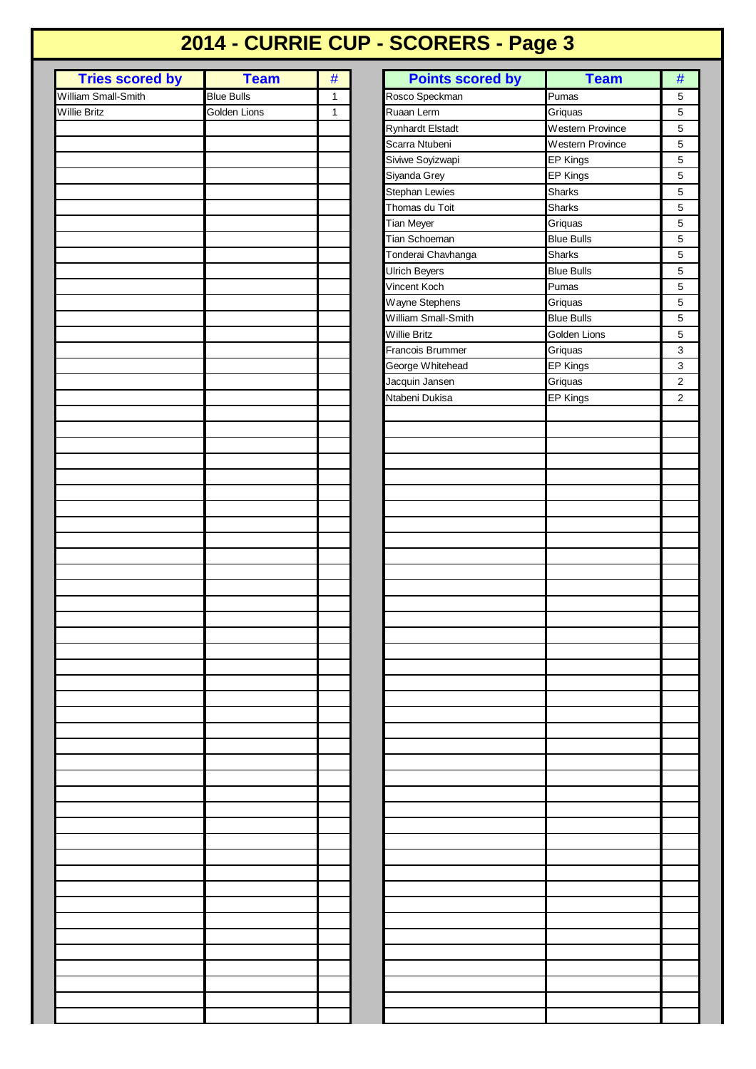## **2014 - CURRIE CUP - SCORERS - Page 3**

| <b>Tries scored by</b> | <b>Team</b>       | #            |
|------------------------|-------------------|--------------|
|                        |                   |              |
| William Small-Smith    | <b>Blue Bulls</b> | $\mathbf{1}$ |
|                        |                   | $\mathbf{1}$ |
| Willie Britz           | Golden Lions      |              |
|                        |                   |              |
|                        |                   |              |
|                        |                   |              |
|                        |                   |              |
|                        |                   |              |
|                        |                   |              |
|                        |                   |              |
|                        |                   |              |
|                        |                   |              |
|                        |                   |              |
|                        |                   |              |
|                        |                   |              |
|                        |                   |              |
|                        |                   |              |
|                        |                   |              |
|                        |                   |              |
|                        |                   |              |
|                        |                   |              |
|                        |                   |              |
|                        |                   |              |
|                        |                   |              |
|                        |                   |              |
|                        |                   |              |
|                        |                   |              |
|                        |                   |              |
|                        |                   |              |
|                        |                   |              |
|                        |                   |              |
|                        |                   |              |
|                        |                   |              |
|                        |                   |              |
|                        |                   |              |
|                        |                   |              |
|                        |                   |              |
|                        |                   |              |
|                        |                   |              |
|                        |                   |              |
|                        |                   |              |
|                        |                   |              |
|                        |                   |              |
|                        |                   |              |
|                        |                   |              |
|                        |                   |              |
|                        |                   |              |
|                        |                   |              |
|                        |                   |              |
|                        |                   |              |
|                        |                   |              |
|                        |                   |              |
|                        |                   |              |
|                        |                   |              |
|                        |                   |              |
|                        |                   |              |
|                        |                   |              |
|                        |                   |              |
|                        |                   |              |
|                        |                   |              |
|                        |                   |              |
|                        |                   |              |
|                        |                   |              |
|                        |                   |              |
|                        |                   |              |
|                        |                   |              |
|                        |                   |              |
|                        |                   |              |
|                        |                   |              |
|                        |                   |              |
|                        |                   |              |
|                        |                   |              |
|                        |                   |              |
|                        |                   |              |
|                        |                   |              |
|                        |                   |              |
|                        |                   |              |
|                        |                   |              |
|                        |                   |              |
|                        |                   |              |
|                        |                   |              |
|                        |                   |              |
|                        |                   |              |
|                        |                   |              |
|                        |                   |              |

| William Small-Smith<br><b>Blue Bulls</b><br>Rosco Speckman<br>Pumas<br>$\mathbf{1}$<br>Golden Lions<br>Ruaan Lerm<br>Griquas<br>Willie Britz<br>$\mathbf{1}$<br>Western Province<br><b>Rynhardt Elstadt</b><br>Scarra Ntubeni<br>Western Province<br>Siviwe Soyizwapi<br>EP Kings<br>Siyanda Grey<br>EP Kings<br><b>Stephan Lewies</b><br><b>Sharks</b><br>Thomas du Toit<br>Sharks<br>Tian Meyer<br>Griquas<br>Tian Schoeman<br><b>Blue Bulls</b><br>Tonderai Chavhanga<br><b>Sharks</b><br>Ulrich Beyers<br><b>Blue Bulls</b><br>Vincent Koch<br>Pumas<br>Wayne Stephens<br>Griquas<br>William Small-Smith<br><b>Blue Bulls</b><br>Willie Britz<br>Golden Lions<br>Francois Brummer<br>Griquas<br>George Whitehead<br>EP Kings<br>Jacquin Jansen<br>Griquas<br>Ntabeni Dukisa<br>EP Kings | 5<br>5<br>5<br>5<br>5<br>5<br>5<br>5<br>5<br>5<br>5<br>5<br>5<br>5<br>5<br>5<br>3 |
|---------------------------------------------------------------------------------------------------------------------------------------------------------------------------------------------------------------------------------------------------------------------------------------------------------------------------------------------------------------------------------------------------------------------------------------------------------------------------------------------------------------------------------------------------------------------------------------------------------------------------------------------------------------------------------------------------------------------------------------------------------------------------------------------|-----------------------------------------------------------------------------------|
|                                                                                                                                                                                                                                                                                                                                                                                                                                                                                                                                                                                                                                                                                                                                                                                             |                                                                                   |
|                                                                                                                                                                                                                                                                                                                                                                                                                                                                                                                                                                                                                                                                                                                                                                                             |                                                                                   |
|                                                                                                                                                                                                                                                                                                                                                                                                                                                                                                                                                                                                                                                                                                                                                                                             |                                                                                   |
|                                                                                                                                                                                                                                                                                                                                                                                                                                                                                                                                                                                                                                                                                                                                                                                             |                                                                                   |
|                                                                                                                                                                                                                                                                                                                                                                                                                                                                                                                                                                                                                                                                                                                                                                                             |                                                                                   |
|                                                                                                                                                                                                                                                                                                                                                                                                                                                                                                                                                                                                                                                                                                                                                                                             |                                                                                   |
|                                                                                                                                                                                                                                                                                                                                                                                                                                                                                                                                                                                                                                                                                                                                                                                             |                                                                                   |
|                                                                                                                                                                                                                                                                                                                                                                                                                                                                                                                                                                                                                                                                                                                                                                                             |                                                                                   |
|                                                                                                                                                                                                                                                                                                                                                                                                                                                                                                                                                                                                                                                                                                                                                                                             |                                                                                   |
|                                                                                                                                                                                                                                                                                                                                                                                                                                                                                                                                                                                                                                                                                                                                                                                             |                                                                                   |
|                                                                                                                                                                                                                                                                                                                                                                                                                                                                                                                                                                                                                                                                                                                                                                                             |                                                                                   |
|                                                                                                                                                                                                                                                                                                                                                                                                                                                                                                                                                                                                                                                                                                                                                                                             |                                                                                   |
|                                                                                                                                                                                                                                                                                                                                                                                                                                                                                                                                                                                                                                                                                                                                                                                             |                                                                                   |
|                                                                                                                                                                                                                                                                                                                                                                                                                                                                                                                                                                                                                                                                                                                                                                                             |                                                                                   |
|                                                                                                                                                                                                                                                                                                                                                                                                                                                                                                                                                                                                                                                                                                                                                                                             |                                                                                   |
|                                                                                                                                                                                                                                                                                                                                                                                                                                                                                                                                                                                                                                                                                                                                                                                             |                                                                                   |
|                                                                                                                                                                                                                                                                                                                                                                                                                                                                                                                                                                                                                                                                                                                                                                                             |                                                                                   |
|                                                                                                                                                                                                                                                                                                                                                                                                                                                                                                                                                                                                                                                                                                                                                                                             | 3                                                                                 |
|                                                                                                                                                                                                                                                                                                                                                                                                                                                                                                                                                                                                                                                                                                                                                                                             | $\mathbf{2}$<br>$\mathbf 2$                                                       |
|                                                                                                                                                                                                                                                                                                                                                                                                                                                                                                                                                                                                                                                                                                                                                                                             |                                                                                   |
|                                                                                                                                                                                                                                                                                                                                                                                                                                                                                                                                                                                                                                                                                                                                                                                             |                                                                                   |
|                                                                                                                                                                                                                                                                                                                                                                                                                                                                                                                                                                                                                                                                                                                                                                                             |                                                                                   |
|                                                                                                                                                                                                                                                                                                                                                                                                                                                                                                                                                                                                                                                                                                                                                                                             |                                                                                   |
|                                                                                                                                                                                                                                                                                                                                                                                                                                                                                                                                                                                                                                                                                                                                                                                             |                                                                                   |
|                                                                                                                                                                                                                                                                                                                                                                                                                                                                                                                                                                                                                                                                                                                                                                                             |                                                                                   |
|                                                                                                                                                                                                                                                                                                                                                                                                                                                                                                                                                                                                                                                                                                                                                                                             |                                                                                   |
|                                                                                                                                                                                                                                                                                                                                                                                                                                                                                                                                                                                                                                                                                                                                                                                             |                                                                                   |
|                                                                                                                                                                                                                                                                                                                                                                                                                                                                                                                                                                                                                                                                                                                                                                                             |                                                                                   |
|                                                                                                                                                                                                                                                                                                                                                                                                                                                                                                                                                                                                                                                                                                                                                                                             |                                                                                   |
|                                                                                                                                                                                                                                                                                                                                                                                                                                                                                                                                                                                                                                                                                                                                                                                             |                                                                                   |
|                                                                                                                                                                                                                                                                                                                                                                                                                                                                                                                                                                                                                                                                                                                                                                                             |                                                                                   |
|                                                                                                                                                                                                                                                                                                                                                                                                                                                                                                                                                                                                                                                                                                                                                                                             |                                                                                   |
|                                                                                                                                                                                                                                                                                                                                                                                                                                                                                                                                                                                                                                                                                                                                                                                             |                                                                                   |
|                                                                                                                                                                                                                                                                                                                                                                                                                                                                                                                                                                                                                                                                                                                                                                                             |                                                                                   |
|                                                                                                                                                                                                                                                                                                                                                                                                                                                                                                                                                                                                                                                                                                                                                                                             |                                                                                   |
|                                                                                                                                                                                                                                                                                                                                                                                                                                                                                                                                                                                                                                                                                                                                                                                             |                                                                                   |
|                                                                                                                                                                                                                                                                                                                                                                                                                                                                                                                                                                                                                                                                                                                                                                                             |                                                                                   |
|                                                                                                                                                                                                                                                                                                                                                                                                                                                                                                                                                                                                                                                                                                                                                                                             |                                                                                   |
|                                                                                                                                                                                                                                                                                                                                                                                                                                                                                                                                                                                                                                                                                                                                                                                             |                                                                                   |
|                                                                                                                                                                                                                                                                                                                                                                                                                                                                                                                                                                                                                                                                                                                                                                                             |                                                                                   |
|                                                                                                                                                                                                                                                                                                                                                                                                                                                                                                                                                                                                                                                                                                                                                                                             |                                                                                   |
|                                                                                                                                                                                                                                                                                                                                                                                                                                                                                                                                                                                                                                                                                                                                                                                             |                                                                                   |
|                                                                                                                                                                                                                                                                                                                                                                                                                                                                                                                                                                                                                                                                                                                                                                                             |                                                                                   |
|                                                                                                                                                                                                                                                                                                                                                                                                                                                                                                                                                                                                                                                                                                                                                                                             |                                                                                   |
|                                                                                                                                                                                                                                                                                                                                                                                                                                                                                                                                                                                                                                                                                                                                                                                             |                                                                                   |
|                                                                                                                                                                                                                                                                                                                                                                                                                                                                                                                                                                                                                                                                                                                                                                                             |                                                                                   |
|                                                                                                                                                                                                                                                                                                                                                                                                                                                                                                                                                                                                                                                                                                                                                                                             |                                                                                   |
|                                                                                                                                                                                                                                                                                                                                                                                                                                                                                                                                                                                                                                                                                                                                                                                             |                                                                                   |
|                                                                                                                                                                                                                                                                                                                                                                                                                                                                                                                                                                                                                                                                                                                                                                                             |                                                                                   |
|                                                                                                                                                                                                                                                                                                                                                                                                                                                                                                                                                                                                                                                                                                                                                                                             |                                                                                   |
|                                                                                                                                                                                                                                                                                                                                                                                                                                                                                                                                                                                                                                                                                                                                                                                             |                                                                                   |
|                                                                                                                                                                                                                                                                                                                                                                                                                                                                                                                                                                                                                                                                                                                                                                                             |                                                                                   |
|                                                                                                                                                                                                                                                                                                                                                                                                                                                                                                                                                                                                                                                                                                                                                                                             |                                                                                   |
|                                                                                                                                                                                                                                                                                                                                                                                                                                                                                                                                                                                                                                                                                                                                                                                             |                                                                                   |
|                                                                                                                                                                                                                                                                                                                                                                                                                                                                                                                                                                                                                                                                                                                                                                                             |                                                                                   |
|                                                                                                                                                                                                                                                                                                                                                                                                                                                                                                                                                                                                                                                                                                                                                                                             |                                                                                   |
|                                                                                                                                                                                                                                                                                                                                                                                                                                                                                                                                                                                                                                                                                                                                                                                             |                                                                                   |
|                                                                                                                                                                                                                                                                                                                                                                                                                                                                                                                                                                                                                                                                                                                                                                                             |                                                                                   |